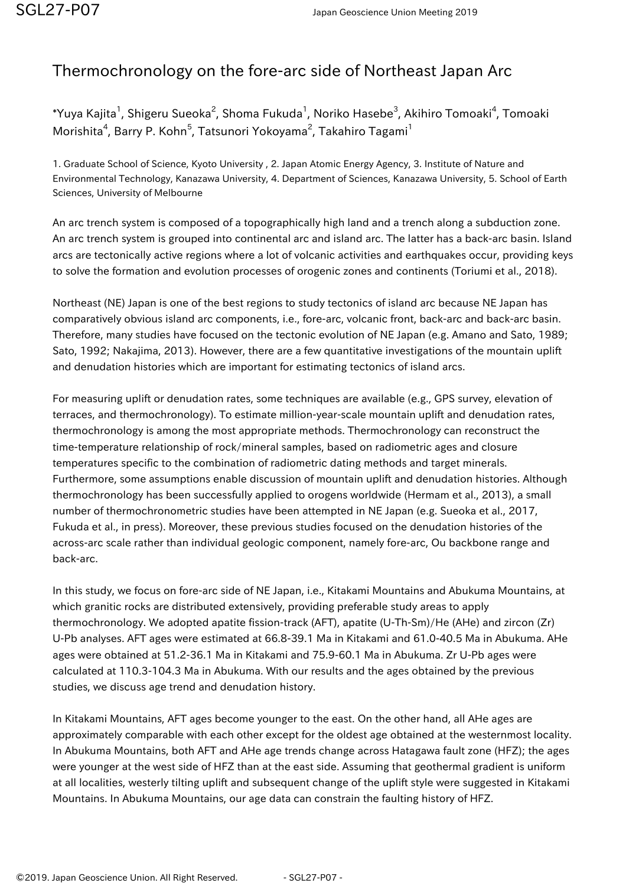## Thermochronology on the fore-arc side of Northeast Japan Arc

 $^*$ Yuya Kajita $^1$ , Shigeru Sueoka $^2$ , Shoma Fukuda $^1$ , Noriko Hasebe $^3$ , Akihiro Tomoaki $^4$ , Tomoaki $^{\rm t}$ Morishita<sup>4</sup>, Barry P. Kohn<sup>5</sup>, Tatsunori Yokoyama<sup>2</sup>, Takahiro Tagami<sup>1</sup>

1. Graduate School of Science, Kyoto University , 2. Japan Atomic Energy Agency, 3. Institute of Nature and Environmental Technology, Kanazawa University, 4. Department of Sciences, Kanazawa University, 5. School of Earth Sciences, University of Melbourne

An arc trench system is composed of a topographically high land and a trench along a subduction zone. An arc trench system is grouped into continental arc and island arc. The latter has a back-arc basin. Island arcs are tectonically active regions where a lot of volcanic activities and earthquakes occur, providing keys to solve the formation and evolution processes of orogenic zones and continents (Toriumi et al., 2018).

Northeast (NE) Japan is one of the best regions to study tectonics of island arc because NE Japan has comparatively obvious island arc components, i.e., fore-arc, volcanic front, back-arc and back-arc basin. Therefore, many studies have focused on the tectonic evolution of NE Japan (e.g. Amano and Sato, 1989; Sato, 1992; Nakajima, 2013). However, there are a few quantitative investigations of the mountain uplift and denudation histories which are important for estimating tectonics of island arcs.

For measuring uplift or denudation rates, some techniques are available (e.g., GPS survey, elevation of terraces, and thermochronology). To estimate million-year-scale mountain uplift and denudation rates, thermochronology is among the most appropriate methods. Thermochronology can reconstruct the time-temperature relationship of rock/mineral samples, based on radiometric ages and closure temperatures specific to the combination of radiometric dating methods and target minerals. Furthermore, some assumptions enable discussion of mountain uplift and denudation histories. Although thermochronology has been successfully applied to orogens worldwide (Hermam et al., 2013), a small number of thermochronometric studies have been attempted in NE Japan (e.g. Sueoka et al., 2017, Fukuda et al., in press). Moreover, these previous studies focused on the denudation histories of the across-arc scale rather than individual geologic component, namely fore-arc, Ou backbone range and back-arc.

In this study, we focus on fore-arc side of NE Japan, i.e., Kitakami Mountains and Abukuma Mountains, at which granitic rocks are distributed extensively, providing preferable study areas to apply thermochronology. We adopted apatite fission-track (AFT), apatite (U-Th-Sm)/He (AHe) and zircon (Zr) U-Pb analyses. AFT ages were estimated at 66.8-39.1 Ma in Kitakami and 61.0-40.5 Ma in Abukuma. AHe ages were obtained at 51.2-36.1 Ma in Kitakami and 75.9-60.1 Ma in Abukuma. Zr U-Pb ages were calculated at 110.3-104.3 Ma in Abukuma. With our results and the ages obtained by the previous studies, we discuss age trend and denudation history.

In Kitakami Mountains, AFT ages become younger to the east. On the other hand, all AHe ages are approximately comparable with each other except for the oldest age obtained at the westernmost locality. In Abukuma Mountains, both AFT and AHe age trends change across Hatagawa fault zone (HFZ); the ages were younger at the west side of HFZ than at the east side. Assuming that geothermal gradient is uniform at all localities, westerly tilting uplift and subsequent change of the uplift style were suggested in Kitakami Mountains. In Abukuma Mountains, our age data can constrain the faulting history of HFZ.